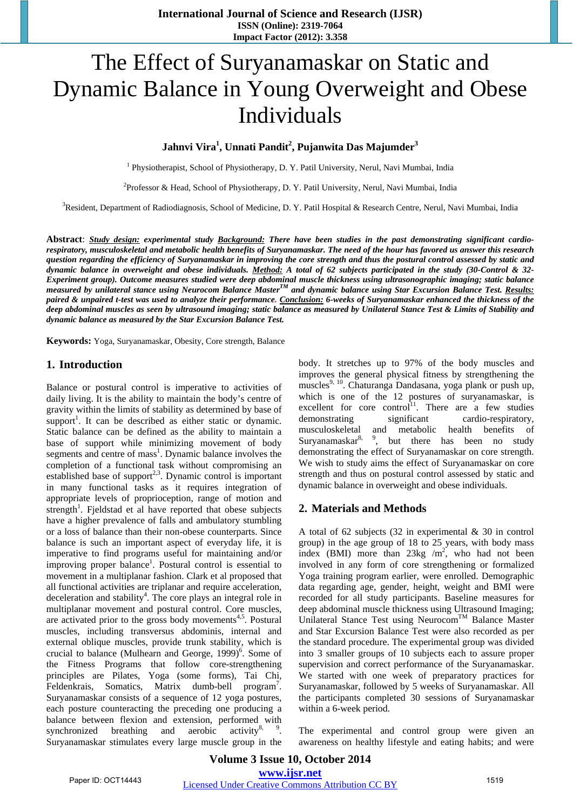# The Effect of Suryanamaskar on Static and Dynamic Balance in Young Overweight and Obese Individuals

### **Jahnvi Vira1 , Unnati Pandit2 , Pujanwita Das Majumder3**

<sup>1</sup> Physiotherapist, School of Physiotherapy, D. Y. Patil University, Nerul, Navi Mumbai, India

<sup>2</sup>Professor & Head, School of Physiotherapy, D. Y. Patil University, Nerul, Navi Mumbai, India

<sup>3</sup>Resident, Department of Radiodiagnosis, School of Medicine, D. Y. Patil Hospital & Research Centre, Nerul, Navi Mumbai, India

**Abstract**: *Study design: experimental study Background: There have been studies in the past demonstrating significant cardiorespiratory, musculoskeletal and metabolic health benefits of Suryanamaskar. The need of the hour has favored us answer this research question regarding the efficiency of Suryanamaskar in improving the core strength and thus the postural control assessed by static and dynamic balance in overweight and obese individuals. Method: A total of 62 subjects participated in the study (30-Control & 32- Experiment group). Outcome measures studied were deep abdominal muscle thickness using ultrasonographic imaging; static balance measured by unilateral stance using Neurocom Balance MasterTM and dynamic balance using Star Excursion Balance Test. Results: paired & unpaired t-test was used to analyze their performance. Conclusion: 6-weeks of Suryanamaskar enhanced the thickness of the deep abdominal muscles as seen by ultrasound imaging; static balance as measured by Unilateral Stance Test & Limits of Stability and dynamic balance as measured by the Star Excursion Balance Test.*

**Keywords:** Yoga, Suryanamaskar, Obesity, Core strength, Balance

#### **1. Introduction**

Balance or postural control is imperative to activities of daily living. It is the ability to maintain the body's centre of gravity within the limits of stability as determined by base of support<sup>1</sup>. It can be described as either static or dynamic. Static balance can be defined as the ability to maintain a base of support while minimizing movement of body segments and centre of mass<sup>1</sup>. Dynamic balance involves the completion of a functional task without compromising an established base of support<sup>2,3</sup>. Dynamic control is important in many functional tasks as it requires integration of appropriate levels of proprioception, range of motion and strength<sup>1</sup>. Fjeldstad et al have reported that obese subjects have a higher prevalence of falls and ambulatory stumbling or a loss of balance than their non-obese counterparts. Since balance is such an important aspect of everyday life, it is imperative to find programs useful for maintaining and/or improving proper balance<sup>1</sup>. Postural control is essential to movement in a multiplanar fashion. Clark et al proposed that all functional activities are triplanar and require acceleration, deceleration and stability<sup>4</sup>. The core plays an integral role in multiplanar movement and postural control. Core muscles, are activated prior to the gross body movements $4.5$ . Postural muscles, including transversus abdominis, internal and external oblique muscles, provide trunk stability, which is crucial to balance (Mulhearn and George,  $1999$ <sup>6</sup>. Some of the Fitness Programs that follow core-strengthening principles are Pilates, Yoga (some forms), Tai Chi, Feldenkrais, Somatics, Matrix dumb-bell program<sup>7</sup>. Suryanamaskar consists of a sequence of 12 yoga postures, each posture counteracting the preceding one producing a balance between flexion and extension, performed with synchronized breathing and aerobic activity $8^8$ ,  $9^9$ . Suryanamaskar stimulates every large muscle group in the

body. It stretches up to 97% of the body muscles and improves the general physical fitness by strengthening the muscles<sup>9, 10</sup>. Chaturanga Dandasana, yoga plank or push up, which is one of the 12 postures of suryanamaskar, is excellent for core control<sup>11</sup>. There are a few studies demonstrating significant cardio-respiratory, musculoskeletal and metabolic health benefits of  $S$ uryanamaskar<sup>8</sup>, <sup>9</sup>, but there has been no study demonstrating the effect of Suryanamaskar on core strength. We wish to study aims the effect of Suryanamaskar on core strength and thus on postural control assessed by static and dynamic balance in overweight and obese individuals.

#### **2. Materials and Methods**

A total of 62 subjects (32 in experimental & 30 in control group) in the age group of 18 to 25 years, with body mass index (BMI) more than  $23\text{kg/m}^2$ , who had not been involved in any form of core strengthening or formalized Yoga training program earlier, were enrolled. Demographic data regarding age, gender, height, weight and BMI were recorded for all study participants. Baseline measures for deep abdominal muscle thickness using Ultrasound Imaging; Unilateral Stance Test using Neurocom<sup>TM</sup> Balance Master and Star Excursion Balance Test were also recorded as per the standard procedure. The experimental group was divided into 3 smaller groups of 10 subjects each to assure proper supervision and correct performance of the Suryanamaskar. We started with one week of preparatory practices for Suryanamaskar, followed by 5 weeks of Suryanamaskar. All the participants completed 30 sessions of Suryanamaskar within a 6-week period.

The experimental and control group were given an awareness on healthy lifestyle and eating habits; and were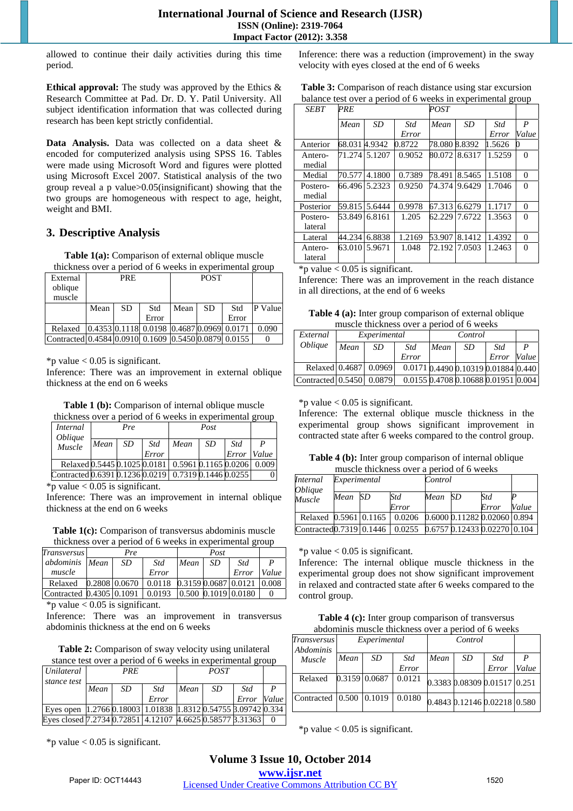allowed to continue their daily activities during this time period.

**Ethical approval:** The study was approved by the Ethics & Research Committee at Pad. Dr. D. Y. Patil University. All subject identification information that was collected during research has been kept strictly confidential.

**Data Analysis.** Data was collected on a data sheet & encoded for computerized analysis using SPSS 16. Tables were made using Microsoft Word and figures were plotted using Microsoft Excel 2007. Statistical analysis of the two group reveal a p value>0.05(insignificant) showing that the two groups are homogeneous with respect to age, height, weight and BMI.

# **3. Descriptive Analysis**

**Table 1(a):** Comparison of external oblique muscle thickness over a period of 6 weeks in experimental group

| -----------<br>ക്ക                                   |      |            |                                                |      |             |       |         |  |  |
|------------------------------------------------------|------|------------|------------------------------------------------|------|-------------|-------|---------|--|--|
| External<br>oblique                                  |      | <b>PRE</b> |                                                |      | <b>POST</b> |       |         |  |  |
| muscle                                               |      |            |                                                |      |             |       |         |  |  |
|                                                      | Mean | SD         | Std                                            | Mean | <b>SD</b>   | Std   | P Value |  |  |
|                                                      |      |            | Error                                          |      |             | Error |         |  |  |
| Relaxed                                              |      |            | $[0.4353] 0.1118] 0.0198 0.4687 0.0969 0.0171$ |      |             |       | 0.090   |  |  |
| Contracted 0.4584 0.0910 0.1609 0.5450 0.0879 0.0155 |      |            |                                                |      |             |       |         |  |  |

\*p value  $< 0.05$  is significant.

Inference: There was an improvement in external oblique thickness at the end on 6 weeks

**Table 1 (b):** Comparison of internal oblique muscle

| thickness over a period of 6 weeks in experimental group |      |     |       |                      |     |       |       |  |
|----------------------------------------------------------|------|-----|-------|----------------------|-----|-------|-------|--|
| <i>Internal</i>                                          |      | Pre |       |                      |     |       |       |  |
| Oblique<br>Muscle                                        | Mean | SD. | Std   | Mean                 | SD. | Std   | P     |  |
|                                                          |      |     | Error |                      |     | Error | Value |  |
| Relaxed 0.5445 0.1025 0.0181                             |      |     |       | 0.5961 0.1165 0.0206 |     |       | 0.009 |  |
| Contracted 0.6391 0.1236 0.0219 0.7319 0.1446 0.0255     |      |     |       |                      |     |       |       |  |

\*p value  $< 0.05$  is significant.

Inference: There was an improvement in internal oblique thickness at the end on 6 weeks

**Table 1(c):** Comparison of transversus abdominis muscle thickness over a period of 6 weeks in experimental group

| <b>Transversus</b>                                  | Pre |                                                                                 |      |     |       |                  |
|-----------------------------------------------------|-----|---------------------------------------------------------------------------------|------|-----|-------|------------------|
| abdominis Mean                                      | SD  | Std                                                                             | Mean | -SD | Std   | $\boldsymbol{P}$ |
| muscle                                              |     | Error                                                                           |      |     | Error | Value            |
| Relaxed                                             |     | $0.2808 \mid 0.0670 \mid 0.0118 \mid 0.3159 \mid 0.0687 \mid 0.0121 \mid 0.008$ |      |     |       |                  |
| Contracted 0.4305 0.1091 0.0193 0.500 0.1019 0.0180 |     |                                                                                 |      |     |       |                  |

\*p value  $< 0.05$  is significant.

Inference: There was an improvement in transversus abdominis thickness at the end on 6 weeks

**Table 2:** Comparison of sway velocity using unilateral

| stance test over a period of 6 weeks in experimental group          |            |    |       |      |     |       |       |  |  |
|---------------------------------------------------------------------|------------|----|-------|------|-----|-------|-------|--|--|
| Unilateral                                                          | <b>PRE</b> |    |       |      |     |       |       |  |  |
| stance test                                                         |            |    |       |      |     |       |       |  |  |
|                                                                     | Mean       | SD | Std   | Mean | SD. | Std   |       |  |  |
|                                                                     |            |    | Error |      |     | Error | Value |  |  |
| Eyes open   1.2766 0.18003   1.01838   1.8312 0.54755 3.09742 0.334 |            |    |       |      |     |       |       |  |  |
| Eyes closed 7.2734 0.72851 4.12107 4.6625 0.58577 3.31363           |            |    |       |      |     |       |       |  |  |

 $*$ p value < 0.05 is significant.

Inference: there was a reduction (improvement) in the sway velocity with eyes closed at the end of 6 weeks

| Table 3: Comparison of reach distance using star excursion  |  |
|-------------------------------------------------------------|--|
| balance test over a period of 6 weeks in experimental group |  |

| <b>SEBT</b> | PRE     |           |        |               | POST   |        |                  |  |
|-------------|---------|-----------|--------|---------------|--------|--------|------------------|--|
|             | Mean    | <b>SD</b> | Std    | Mean          | SD     | Std    | $\boldsymbol{P}$ |  |
|             |         |           | Error  |               |        | Error  | Value            |  |
| Anterior    | 68.031  | 4.9342    | 0.8722 | 78.080        | 8.8392 | 1.5626 |                  |  |
| Antero-     | 71.2741 | 5.1207    | 0.9052 | 80.07218.6317 |        | 1.5259 | $\Omega$         |  |
| medial      |         |           |        |               |        |        |                  |  |
| Medial      | 70.577  | 4.1800    | 0.7389 | 78.491        | 8.5465 | 1.5108 | $\Omega$         |  |
| Postero-    | 66.4961 | 5.2323    | 0.9250 | 74.3741       | 9.6429 | 1.7046 | $\Omega$         |  |
| medial      |         |           |        |               |        |        |                  |  |
| Posterior   | 59.815  | 5.6444    | 0.9978 | 67.313        | 6.6279 | 1.1717 | $\Omega$         |  |
| Postero-    | 53.849  | 6.8161    | 1.205  | 62.229        | 7.6722 | 1.3563 | $\Omega$         |  |
| lateral     |         |           |        |               |        |        |                  |  |
| Lateral     | 44.234  | 6.8838    | 1.2169 | 53.907        | 8.1412 | 1.4392 | $\Omega$         |  |
| Antero-     | 63.010  | 5.9671    | 1.048  | 72.192        | 7.0503 | 1.2463 | $\Omega$         |  |
| lateral     |         |           |        |               |        |        |                  |  |

\*p value  $< 0.05$  is significant.

Inference: There was an improvement in the reach distance in all directions, at the end of 6 weeks

**Table 4 (a):** Inter group comparison of external oblique muscle thickness over a period of 6 weeks

| External                 |      | Experimental | Control |      |     |                                     |       |
|--------------------------|------|--------------|---------|------|-----|-------------------------------------|-------|
| <i><b>Oblique</b></i>    | Mean | SD           | Std     | Mean | SD. | Std                                 |       |
|                          |      |              | Error   |      |     | Error                               | Value |
| Relaxed 0.4687   0.0969  |      |              |         |      |     | 0.0171 0.4490 0.10319 0.01884 0.440 |       |
| Contracted 0.5450 0.0879 |      |              |         |      |     | 0.0155 0.4708 0.10688 0.01951 0.004 |       |

#### \*p value  $< 0.05$  is significant.

Inference: The external oblique muscle thickness in the experimental group shows significant improvement in contracted state after 6 weeks compared to the control group.

**Table 4 (b):** Inter group comparison of internal oblique muscle thickness over a period of 6 weeks

| <i>Internal</i><br><i><b>Oblique</b></i> | Experimental |    |                                               | Control |    |                              |       |
|------------------------------------------|--------------|----|-----------------------------------------------|---------|----|------------------------------|-------|
| Muscle                                   | Mean         | SD | Std<br>Error                                  | Mean    | SD | Std<br>Error                 | Value |
|                                          |              |    |                                               |         |    |                              |       |
| Relaxed 0.5961 0.1165                    |              |    | 0.0206                                        |         |    | 0.6000 0.11282 0.02060 0.894 |       |
| Contracted 0.7319 0.1446                 |              |    | $0.0255$ $0.6757$ $0.12433$ $0.02270$ $0.104$ |         |    |                              |       |

\*p value  $< 0.05$  is significant.

Inference: The internal oblique muscle thickness in the experimental group does not show significant improvement in relaxed and contracted state after 6 weeks compared to the control group.

| Table 4 (c): Inter group comparison of transversus  |
|-----------------------------------------------------|
| abdominis muscle thickness over a period of 6 weeks |

| <b>Transversus</b><br>Abdominis    | Experimental |               |        |      |    |                              |       |  |  |  |
|------------------------------------|--------------|---------------|--------|------|----|------------------------------|-------|--|--|--|
| Muscle                             | Mean         | SD.           | Std    | Mean | SD | Std                          | P     |  |  |  |
|                                    |              |               | Error  |      |    | Error                        | Value |  |  |  |
| Relaxed                            |              | 0.3159 0.0687 | 0.0121 |      |    | 0.3383 0.08309 0.01517 0.251 |       |  |  |  |
| Contracted 10.500 10.1019 1 0.0180 |              |               |        |      |    | 0.4843 0.12146 0.02218 0.580 |       |  |  |  |

\*p value  $< 0.05$  is significant.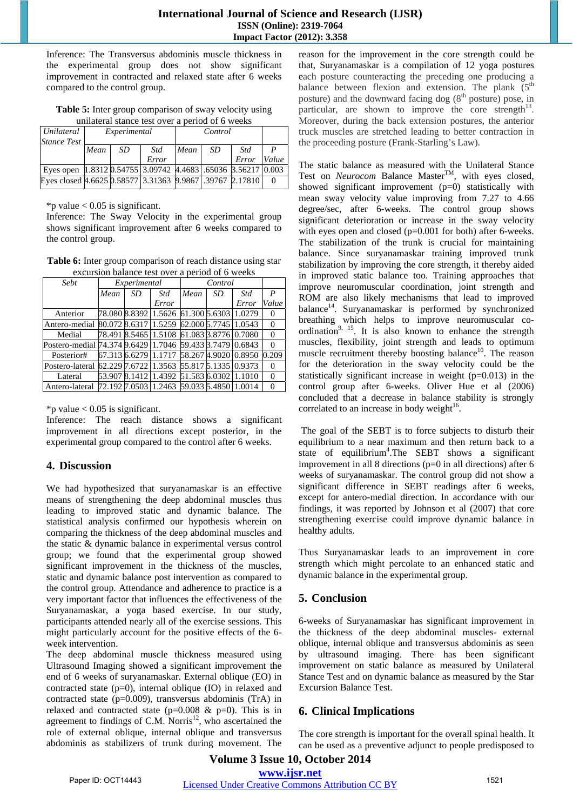Inference: The Transversus abdominis muscle thickness in the experimental group does not show significant improvement in contracted and relaxed state after 6 weeks compared to the control group.

**Table 5:** Inter group comparison of sway velocity using unilateral stance test over a period of 6 weeks

|                                                                          | umment same test over a pence or o weeks |              |            |      |         |       |       |  |  |  |  |
|--------------------------------------------------------------------------|------------------------------------------|--------------|------------|------|---------|-------|-------|--|--|--|--|
| Unilateral                                                               |                                          | Experimental |            |      | Control |       |       |  |  |  |  |
| <i>Stance Test</i>                                                       |                                          |              |            |      |         |       |       |  |  |  |  |
|                                                                          | Mean                                     | SD           | <b>Std</b> | Mean | SD.     | Std   |       |  |  |  |  |
|                                                                          |                                          |              | Error      |      |         | Error | Value |  |  |  |  |
| Eyes open   1.8312 0.54755   3.09742   4.4683   .65036   3.56217   0.003 |                                          |              |            |      |         |       |       |  |  |  |  |
| Eyes closed 4.6625 0.58577 3.31363 9.9867 39767 2.17810                  |                                          |              |            |      |         |       |       |  |  |  |  |
|                                                                          |                                          |              |            |      |         |       |       |  |  |  |  |

 $*$ p value < 0.05 is significant.

Inference: The Sway Velocity in the experimental group shows significant improvement after 6 weeks compared to the control group.

**Table 6:** Inter group comparison of reach distance using star excursion balance test over a period of 6 weeks

| Sebt                                                      |      | Experimental |                                                   |      |    |                      |       |  |  |  |  |
|-----------------------------------------------------------|------|--------------|---------------------------------------------------|------|----|----------------------|-------|--|--|--|--|
|                                                           | Mean | SD.          | Std                                               | Mean | SD | Std                  | P     |  |  |  |  |
|                                                           |      |              | Error                                             |      |    | Error                | Value |  |  |  |  |
| Anterior                                                  |      |              | 78.080 8.8392 1.5626 61.300 5.6303 1.0279         |      |    |                      |       |  |  |  |  |
| Antero-medial                                             |      |              | 80.072 8.6317 1.5259                              |      |    | 62.000 5.7745 1.0543 |       |  |  |  |  |
| Medial                                                    |      |              | 78.491 8.5465   1.5108   61.083   3.8776   0.7080 |      |    |                      |       |  |  |  |  |
| Postero-medial 74.374 9.6429 1.7046 59.433 8.7479 0.6843  |      |              |                                                   |      |    |                      |       |  |  |  |  |
| Posterior#                                                |      |              | 67.313 6.6279 1.1717 58.267 4.9020 0.8950         |      |    |                      | 0.209 |  |  |  |  |
| Postero-lateral 62.229 7.6722 1.3563 55.817 5.1335 0.9373 |      |              |                                                   |      |    |                      |       |  |  |  |  |
| Lateral                                                   |      |              | 53.907 8.1412 1.4392 51.583 6.0302 1.1010         |      |    |                      | 0     |  |  |  |  |
| Antero-lateral                                            |      |              | 72.192 7.0503 1.2463 59.033 5.4850 1.0014         |      |    |                      |       |  |  |  |  |

\*p value  $< 0.05$  is significant.

Inference: The reach distance shows a significant improvement in all directions except posterior, in the experimental group compared to the control after 6 weeks.

# **4. Discussion**

We had hypothesized that suryanamaskar is an effective means of strengthening the deep abdominal muscles thus leading to improved static and dynamic balance. The statistical analysis confirmed our hypothesis wherein on comparing the thickness of the deep abdominal muscles and the static & dynamic balance in experimental versus control group; we found that the experimental group showed significant improvement in the thickness of the muscles, static and dynamic balance post intervention as compared to the control group. Attendance and adherence to practice is a very important factor that influences the effectiveness of the Suryanamaskar, a yoga based exercise. In our study, participants attended nearly all of the exercise sessions. This might particularly account for the positive effects of the 6 week intervention.

The deep abdominal muscle thickness measured using Ultrasound Imaging showed a significant improvement the end of 6 weeks of suryanamaskar. External oblique (EO) in contracted state (p=0), internal oblique (IO) in relaxed and contracted state (p=0.009), transversus abdominis (TrA) in relaxed and contracted state ( $p=0.008 \& p=0$ ). This is in agreement to findings of C.M. Norris $12$ , who ascertained the role of external oblique, internal oblique and transversus abdominis as stabilizers of trunk during movement. The reason for the improvement in the core strength could be that, Suryanamaskar is a compilation of 12 yoga postures each posture counteracting the preceding one producing a balance between flexion and extension. The plank  $(5<sup>th</sup>$ posture) and the downward facing dog  $(8<sup>th</sup>$  posture) pose, in particular, are shown to improve the core strength $^{13}$ . Moreover, during the back extension postures, the anterior truck muscles are stretched leading to better contraction in the proceeding posture (Frank-Starling's Law).

The static balance as measured with the Unilateral Stance Test on *Neurocom* Balance Master<sup>TM</sup>, with eyes closed, showed significant improvement (p=0) statistically with mean sway velocity value improving from 7.27 to 4.66 degree/sec, after 6-weeks. The control group shows significant deterioration or increase in the sway velocity with eyes open and closed (p=0.001 for both) after 6-weeks. The stabilization of the trunk is crucial for maintaining balance. Since suryanamaskar training improved trunk stabilization by improving the core strength, it thereby aided in improved static balance too. Training approaches that improve neuromuscular coordination, joint strength and ROM are also likely mechanisms that lead to improved balance<sup>14</sup>. Suryanamaskar is performed by synchronized breathing which helps to improve neuromuscular coordination<sup>9, 15</sup>. It is also known to enhance the strength muscles, flexibility, joint strength and leads to optimum muscle recruitment thereby boosting balance<sup>10</sup>. The reason for the deterioration in the sway velocity could be the statistically significant increase in weight (p=0.013) in the control group after 6-weeks. Oliver Hue et al (2006) concluded that a decrease in balance stability is strongly correlated to an increase in body weight $16$ .

 The goal of the SEBT is to force subjects to disturb their equilibrium to a near maximum and then return back to a state of equilibrium<sup>4</sup>. The SEBT shows a significant improvement in all 8 directions (p=0 in all directions) after 6 weeks of suryanamaskar. The control group did not show a significant difference in SEBT readings after 6 weeks, except for antero-medial direction. In accordance with our findings, it was reported by Johnson et al (2007) that core strengthening exercise could improve dynamic balance in healthy adults.

Thus Suryanamaskar leads to an improvement in core strength which might percolate to an enhanced static and dynamic balance in the experimental group.

# **5. Conclusion**

6-weeks of Suryanamaskar has significant improvement in the thickness of the deep abdominal muscles- external oblique, internal oblique and transversus abdominis as seen by ultrasound imaging. There has been significant improvement on static balance as measured by Unilateral Stance Test and on dynamic balance as measured by the Star Excursion Balance Test.

# **6. Clinical Implications**

The core strength is important for the overall spinal health. It can be used as a preventive adjunct to people predisposed to